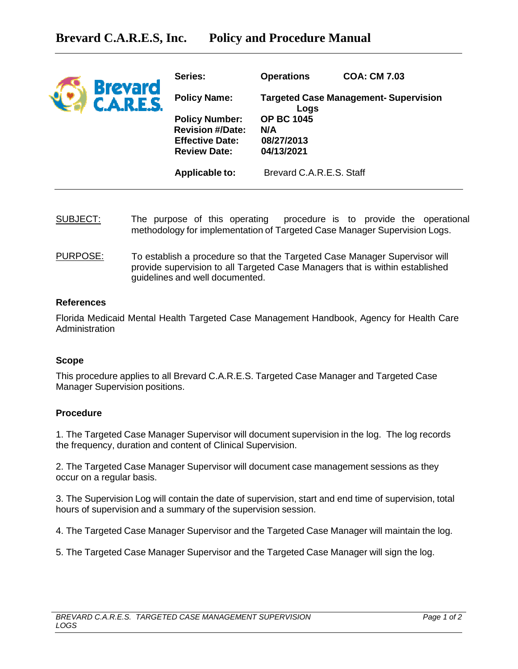| <b>Brevard</b><br><b>C.A.R.E.S.</b> | Series:                                                                  | <b>Operations</b>                                    | <b>COA: CM 7.03</b> |
|-------------------------------------|--------------------------------------------------------------------------|------------------------------------------------------|---------------------|
|                                     | <b>Policy Name:</b>                                                      | <b>Targeted Case Management- Supervision</b><br>Logs |                     |
|                                     | <b>Policy Number:</b>                                                    | <b>OP BC 1045</b>                                    |                     |
|                                     | <b>Revision #/Date:</b><br><b>Effective Date:</b><br><b>Review Date:</b> | N/A<br>08/27/2013<br>04/13/2021                      |                     |
|                                     | <b>Applicable to:</b>                                                    | Brevard C.A.R.E.S. Staff                             |                     |

- SUBJECT: The purpose of this operating procedure is to provide the operational methodology for implementation of Targeted Case Manager Supervision Logs.
- PURPOSE: To establish a procedure so that the Targeted Case Manager Supervisor will provide supervision to all Targeted Case Managers that is within established guidelines and well documented.

## **References**

Florida Medicaid Mental Health Targeted Case Management Handbook, Agency for Health Care Administration

## **Scope**

This procedure applies to all Brevard C.A.R.E.S. Targeted Case Manager and Targeted Case Manager Supervision positions.

## **Procedure**

1. The Targeted Case Manager Supervisor will document supervision in the log. The log records the frequency, duration and content of Clinical Supervision.

2. The Targeted Case Manager Supervisor will document case management sessions as they occur on a regular basis.

3. The Supervision Log will contain the date of supervision, start and end time of supervision, total hours of supervision and a summary of the supervision session.

4. The Targeted Case Manager Supervisor and the Targeted Case Manager will maintain the log.

5. The Targeted Case Manager Supervisor and the Targeted Case Manager will sign the log.